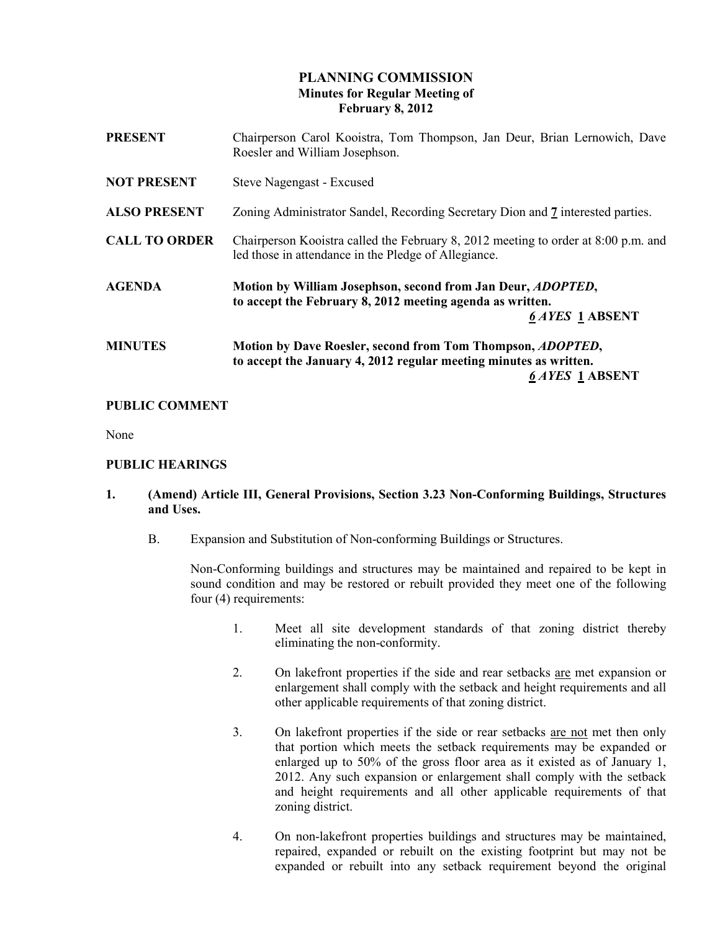# PLANNING COMMISSION Minutes for Regular Meeting of February 8, 2012

| <b>PRESENT</b>       | Chairperson Carol Kooistra, Tom Thompson, Jan Deur, Brian Lernowich, Dave<br>Roesler and William Josephson.                                                       |
|----------------------|-------------------------------------------------------------------------------------------------------------------------------------------------------------------|
| <b>NOT PRESENT</b>   | Steve Nagengast - Excused                                                                                                                                         |
| <b>ALSO PRESENT</b>  | Zoning Administrator Sandel, Recording Secretary Dion and 7 interested parties.                                                                                   |
| <b>CALL TO ORDER</b> | Chairperson Kooistra called the February 8, 2012 meeting to order at 8:00 p.m. and<br>led those in attendance in the Pledge of Allegiance.                        |
| <b>AGENDA</b>        | Motion by William Josephson, second from Jan Deur, <i>ADOPTED</i> ,<br>to accept the February 8, 2012 meeting agenda as written.<br><b>6 AYES 1 ABSENT</b>        |
| <b>MINUTES</b>       | Motion by Dave Roesler, second from Tom Thompson, <i>ADOPTED</i> ,<br>to accept the January 4, 2012 regular meeting minutes as written.<br><b>6 AYES 1 ABSENT</b> |

# PUBLIC COMMENT

None

#### PUBLIC HEARINGS

# 1. (Amend) Article III, General Provisions, Section 3.23 Non-Conforming Buildings, Structures and Uses.

B. Expansion and Substitution of Non-conforming Buildings or Structures.

 Non-Conforming buildings and structures may be maintained and repaired to be kept in sound condition and may be restored or rebuilt provided they meet one of the following four (4) requirements:

- 1. Meet all site development standards of that zoning district thereby eliminating the non-conformity.
- 2. On lakefront properties if the side and rear setbacks are met expansion or enlargement shall comply with the setback and height requirements and all other applicable requirements of that zoning district.
- 3. On lakefront properties if the side or rear setbacks are not met then only that portion which meets the setback requirements may be expanded or enlarged up to 50% of the gross floor area as it existed as of January 1, 2012. Any such expansion or enlargement shall comply with the setback and height requirements and all other applicable requirements of that zoning district.
- 4. On non-lakefront properties buildings and structures may be maintained, repaired, expanded or rebuilt on the existing footprint but may not be expanded or rebuilt into any setback requirement beyond the original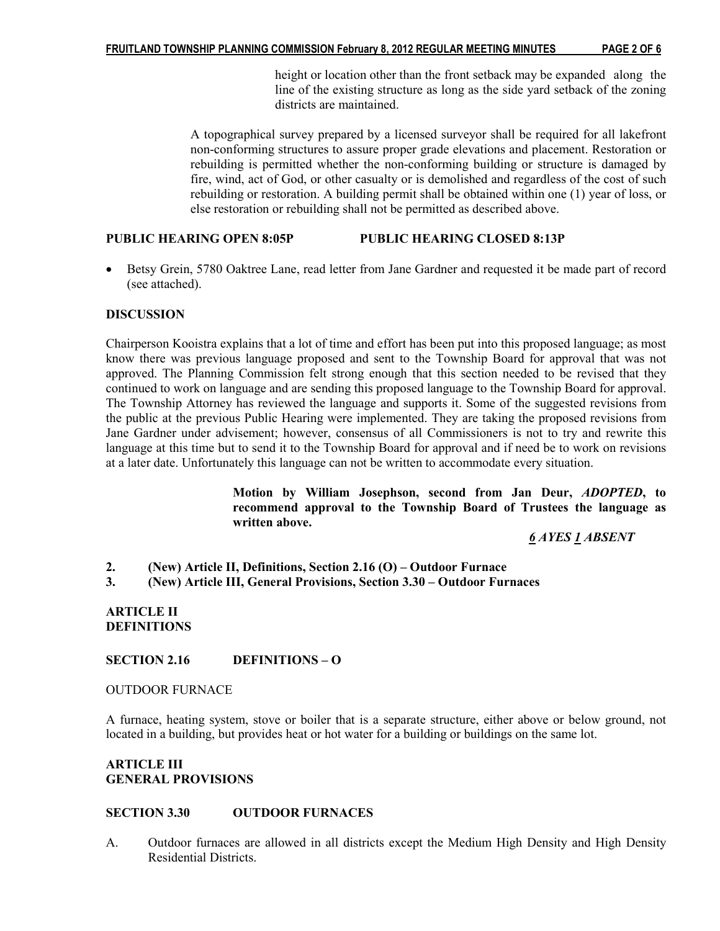height or location other than the front setback may be expanded along the line of the existing structure as long as the side yard setback of the zoning districts are maintained.

 A topographical survey prepared by a licensed surveyor shall be required for all lakefront non-conforming structures to assure proper grade elevations and placement. Restoration or rebuilding is permitted whether the non-conforming building or structure is damaged by fire, wind, act of God, or other casualty or is demolished and regardless of the cost of such rebuilding or restoration. A building permit shall be obtained within one (1) year of loss, or else restoration or rebuilding shall not be permitted as described above.

## PUBLIC HEARING OPEN 8:05P PUBLIC HEARING CLOSED 8:13P

• Betsy Grein, 5780 Oaktree Lane, read letter from Jane Gardner and requested it be made part of record (see attached).

#### **DISCUSSION**

Chairperson Kooistra explains that a lot of time and effort has been put into this proposed language; as most know there was previous language proposed and sent to the Township Board for approval that was not approved. The Planning Commission felt strong enough that this section needed to be revised that they continued to work on language and are sending this proposed language to the Township Board for approval. The Township Attorney has reviewed the language and supports it. Some of the suggested revisions from the public at the previous Public Hearing were implemented. They are taking the proposed revisions from Jane Gardner under advisement; however, consensus of all Commissioners is not to try and rewrite this language at this time but to send it to the Township Board for approval and if need be to work on revisions at a later date. Unfortunately this language can not be written to accommodate every situation.

> Motion by William Josephson, second from Jan Deur, ADOPTED, to recommend approval to the Township Board of Trustees the language as written above.

> > 6 AYES 1 ABSENT

- 2. (New) Article II, Definitions, Section 2.16 (O) Outdoor Furnace
- 3. (New) Article III, General Provisions, Section 3.30 Outdoor Furnaces

#### ARTICLE II **DEFINITIONS**

## SECTION 2.16 DEFINITIONS – O

#### OUTDOOR FURNACE

A furnace, heating system, stove or boiler that is a separate structure, either above or below ground, not located in a building, but provides heat or hot water for a building or buildings on the same lot.

## ARTICLE III GENERAL PROVISIONS

#### SECTION 3.30 OUTDOOR FURNACES

A. Outdoor furnaces are allowed in all districts except the Medium High Density and High Density Residential Districts.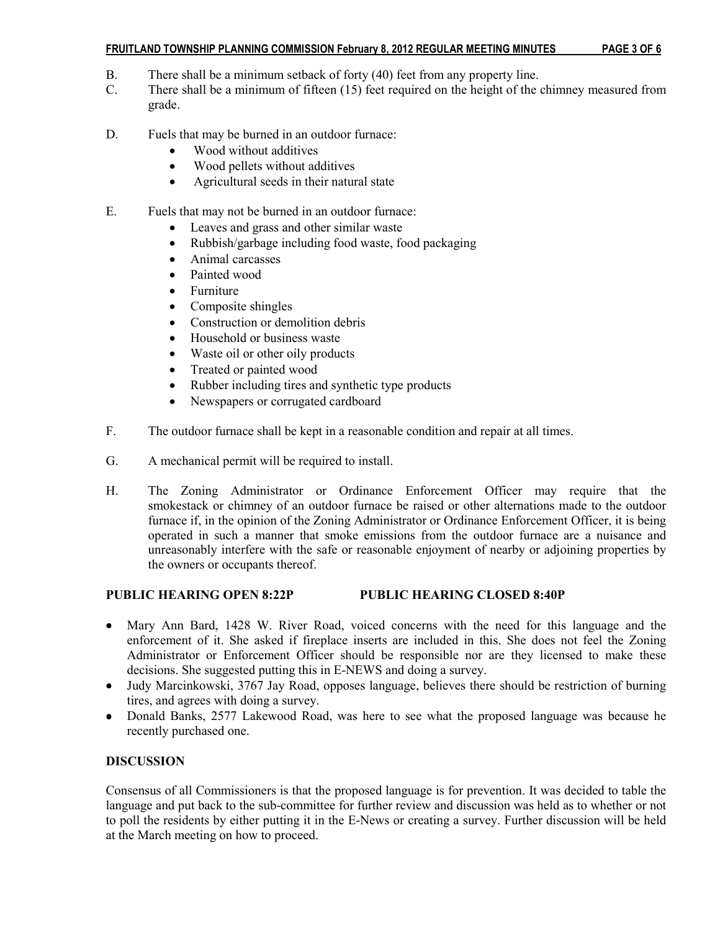## FRUITLAND TOWNSHIP PLANNING COMMISSION February 8, 2012 REGULAR MEETING MINUTES PAGE 3 OF 6

- B. There shall be a minimum setback of forty (40) feet from any property line.
- C. There shall be a minimum of fifteen (15) feet required on the height of the chimney measured from grade.
- D. Fuels that may be burned in an outdoor furnace:
	- Wood without additives
	- Wood pellets without additives
	- Agricultural seeds in their natural state
- E. Fuels that may not be burned in an outdoor furnace:
	- Leaves and grass and other similar waste
	- Rubbish/garbage including food waste, food packaging
	- Animal carcasses
	- Painted wood
	- Furniture
	- Composite shingles
	- Construction or demolition debris
	- Household or business waste
	- Waste oil or other oily products
	- Treated or painted wood
	- Rubber including tires and synthetic type products
	- Newspapers or corrugated cardboard
- F. The outdoor furnace shall be kept in a reasonable condition and repair at all times.
- G. A mechanical permit will be required to install.
- H. The Zoning Administrator or Ordinance Enforcement Officer may require that the smokestack or chimney of an outdoor furnace be raised or other alternations made to the outdoor furnace if, in the opinion of the Zoning Administrator or Ordinance Enforcement Officer, it is being operated in such a manner that smoke emissions from the outdoor furnace are a nuisance and unreasonably interfere with the safe or reasonable enjoyment of nearby or adjoining properties by the owners or occupants thereof.

# PUBLIC HEARING OPEN 8:22P PUBLIC HEARING CLOSED 8:40P

- Mary Ann Bard, 1428 W. River Road, voiced concerns with the need for this language and the enforcement of it. She asked if fireplace inserts are included in this. She does not feel the Zoning Administrator or Enforcement Officer should be responsible nor are they licensed to make these decisions. She suggested putting this in E-NEWS and doing a survey.
- Judy Marcinkowski, 3767 Jay Road, opposes language, believes there should be restriction of burning tires, and agrees with doing a survey.
- Donald Banks, 2577 Lakewood Road, was here to see what the proposed language was because he recently purchased one.

# **DISCUSSION**

Consensus of all Commissioners is that the proposed language is for prevention. It was decided to table the language and put back to the sub-committee for further review and discussion was held as to whether or not to poll the residents by either putting it in the E-News or creating a survey. Further discussion will be held at the March meeting on how to proceed.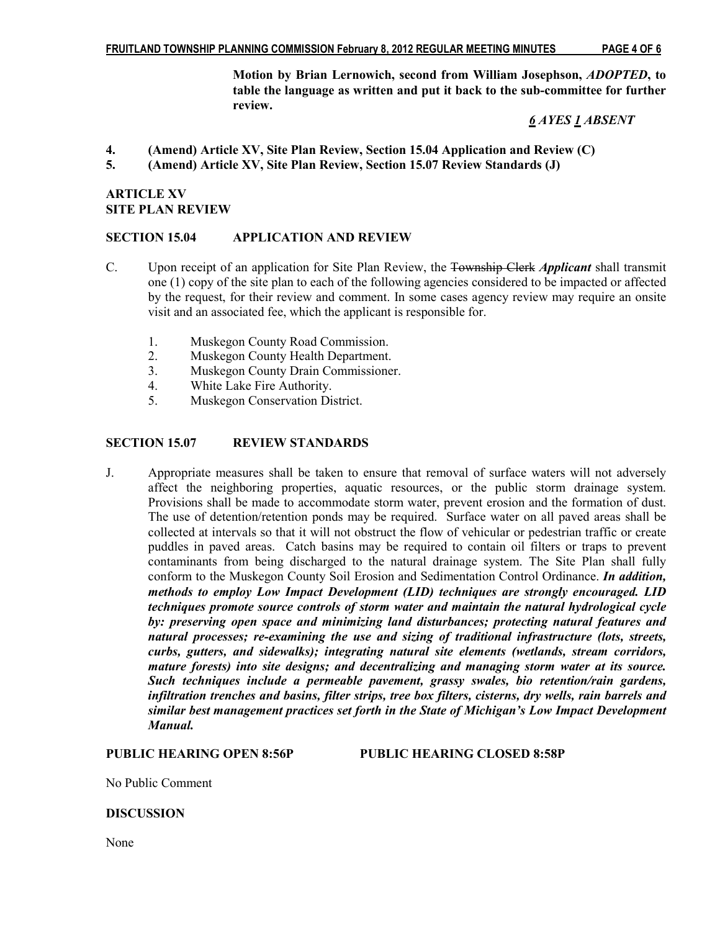Motion by Brian Lernowich, second from William Josephson, ADOPTED, to table the language as written and put it back to the sub-committee for further review.

# 6 AYES 1 ABSENT

- 4. (Amend) Article XV, Site Plan Review, Section 15.04 Application and Review (C)
- 5. (Amend) Article XV, Site Plan Review, Section 15.07 Review Standards (J)

# ARTICLE XV SITE PLAN REVIEW

## SECTION 15.04 APPLICATION AND REVIEW

- C. Upon receipt of an application for Site Plan Review, the Township Clerk *Applicant* shall transmit one (1) copy of the site plan to each of the following agencies considered to be impacted or affected by the request, for their review and comment. In some cases agency review may require an onsite visit and an associated fee, which the applicant is responsible for.
	- 1. Muskegon County Road Commission.
	- 2. Muskegon County Health Department.
	- 3. Muskegon County Drain Commissioner.
	- 4. White Lake Fire Authority.
	- 5. Muskegon Conservation District.

# SECTION 15.07 REVIEW STANDARDS

J. Appropriate measures shall be taken to ensure that removal of surface waters will not adversely affect the neighboring properties, aquatic resources, or the public storm drainage system. Provisions shall be made to accommodate storm water, prevent erosion and the formation of dust. The use of detention/retention ponds may be required. Surface water on all paved areas shall be collected at intervals so that it will not obstruct the flow of vehicular or pedestrian traffic or create puddles in paved areas. Catch basins may be required to contain oil filters or traps to prevent contaminants from being discharged to the natural drainage system. The Site Plan shall fully conform to the Muskegon County Soil Erosion and Sedimentation Control Ordinance. *In addition*, methods to employ Low Impact Development (LID) techniques are strongly encouraged. LID techniques promote source controls of storm water and maintain the natural hydrological cycle by: preserving open space and minimizing land disturbances; protecting natural features and natural processes; re-examining the use and sizing of traditional infrastructure (lots, streets, curbs, gutters, and sidewalks); integrating natural site elements (wetlands, stream corridors, mature forests) into site designs; and decentralizing and managing storm water at its source. Such techniques include a permeable pavement, grassy swales, bio retention/rain gardens, infiltration trenches and basins, filter strips, tree box filters, cisterns, dry wells, rain barrels and similar best management practices set forth in the State of Michigan's Low Impact Development Manual.

PUBLIC HEARING OPEN 8:56P PUBLIC HEARING CLOSED 8:58P

No Public Comment

## **DISCUSSION**

None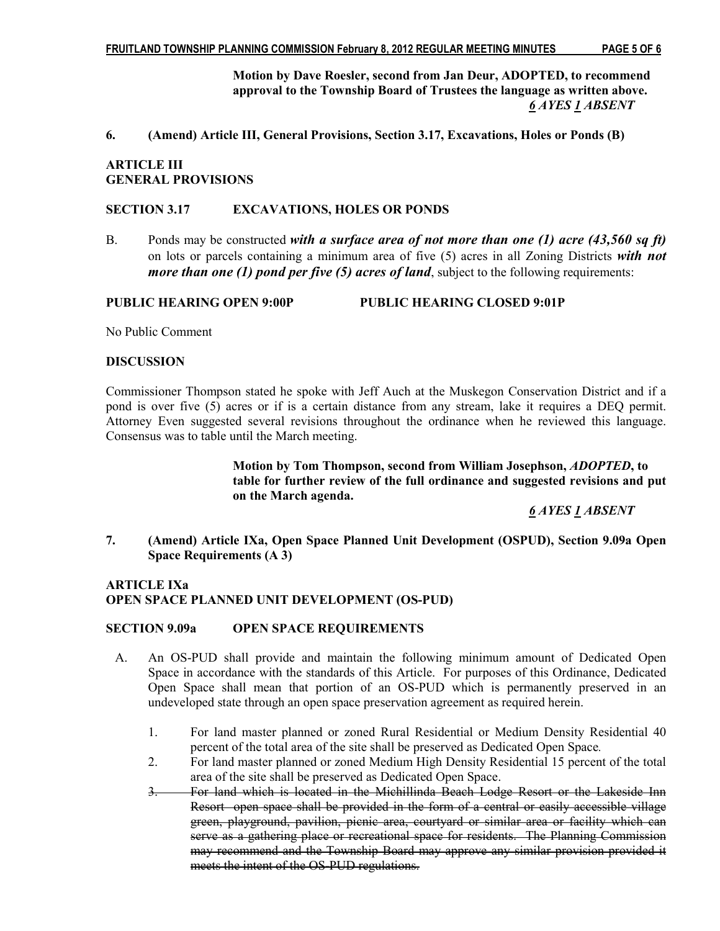Motion by Dave Roesler, second from Jan Deur, ADOPTED, to recommend approval to the Township Board of Trustees the language as written above. 6 AYES 1 ABSENT

6. (Amend) Article III, General Provisions, Section 3.17, Excavations, Holes or Ponds (B)

# ARTICLE III GENERAL PROVISIONS

#### SECTION 3.17 EXCAVATIONS, HOLES OR PONDS

B. Ponds may be constructed with a surface area of not more than one (1) acre (43,560 sq ft) on lots or parcels containing a minimum area of five  $(5)$  acres in all Zoning Districts with not *more than one (1) pond per five (5) acres of land*, subject to the following requirements:

#### PUBLIC HEARING OPEN 9:00P PUBLIC HEARING CLOSED 9:01P

No Public Comment

## **DISCUSSION**

Commissioner Thompson stated he spoke with Jeff Auch at the Muskegon Conservation District and if a pond is over five (5) acres or if is a certain distance from any stream, lake it requires a DEQ permit. Attorney Even suggested several revisions throughout the ordinance when he reviewed this language. Consensus was to table until the March meeting.

> Motion by Tom Thompson, second from William Josephson, ADOPTED, to table for further review of the full ordinance and suggested revisions and put on the March agenda.

> > 6 AYES 1 ABSENT

7. (Amend) Article IXa, Open Space Planned Unit Development (OSPUD), Section 9.09a Open Space Requirements (A 3)

# ARTICLE IXa OPEN SPACE PLANNED UNIT DEVELOPMENT (OS-PUD)

#### SECTION 9.09a OPEN SPACE REQUIREMENTS

- A. An OS-PUD shall provide and maintain the following minimum amount of Dedicated Open Space in accordance with the standards of this Article. For purposes of this Ordinance, Dedicated Open Space shall mean that portion of an OS-PUD which is permanently preserved in an undeveloped state through an open space preservation agreement as required herein.
	- 1. For land master planned or zoned Rural Residential or Medium Density Residential 40 percent of the total area of the site shall be preserved as Dedicated Open Space.
	- 2. For land master planned or zoned Medium High Density Residential 15 percent of the total area of the site shall be preserved as Dedicated Open Space.
	- 3. For land which is located in the Michillinda Beach Lodge Resort or the Lakeside Inn Resort open space shall be provided in the form of a central or easily accessible village green, playground, pavilion, picnic area, courtyard or similar area or facility which can serve as a gathering place or recreational space for residents. The Planning Commission may recommend and the Township Board may approve any similar provision provided it meets the intent of the OS-PUD regulations.